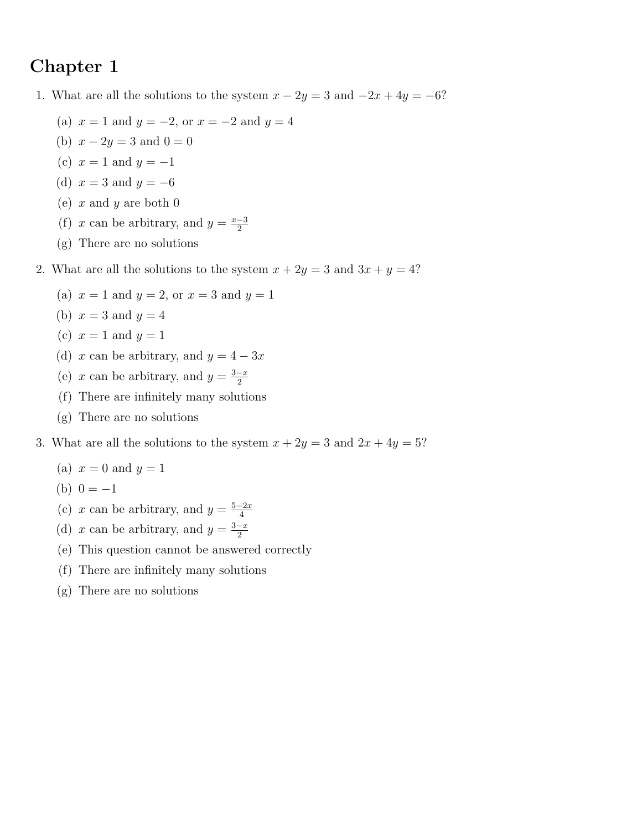## **Chapter 1**

- 1. What are all the solutions to the system  $x 2y = 3$  and  $-2x + 4y = -6$ ?
	- (a)  $x = 1$  and  $y = -2$ , or  $x = -2$  and  $y = 4$
	- (b)  $x 2y = 3$  and  $0 = 0$
	- (c)  $x = 1$  and  $y = -1$
	- (d)  $x = 3$  and  $y = -6$
	- (e) *x* and *y* are both 0
	- (f) *x* can be arbitrary, and  $y = \frac{x-3}{2}$ 2
	- (g) There are no solutions

2. What are all the solutions to the system  $x + 2y = 3$  and  $3x + y = 4$ ?

- (a)  $x = 1$  and  $y = 2$ , or  $x = 3$  and  $y = 1$
- (b)  $x = 3$  and  $y = 4$
- (c)  $x = 1$  and  $y = 1$
- (d) *x* can be arbitrary, and  $y = 4 3x$
- (e) *x* can be arbitrary, and  $y = \frac{3-x}{2}$ 2
- (f) There are infinitely many solutions
- (g) There are no solutions
- 3. What are all the solutions to the system  $x + 2y = 3$  and  $2x + 4y = 5$ ?
	- (a)  $x = 0$  and  $y = 1$
	- (b)  $0 = -1$
	- (c) *x* can be arbitrary, and  $y = \frac{5-2x}{4}$ 4
	- (d) *x* can be arbitrary, and  $y = \frac{3-x}{2}$ 2
	- (e) This question cannot be answered correctly
	- (f) There are infinitely many solutions
	- (g) There are no solutions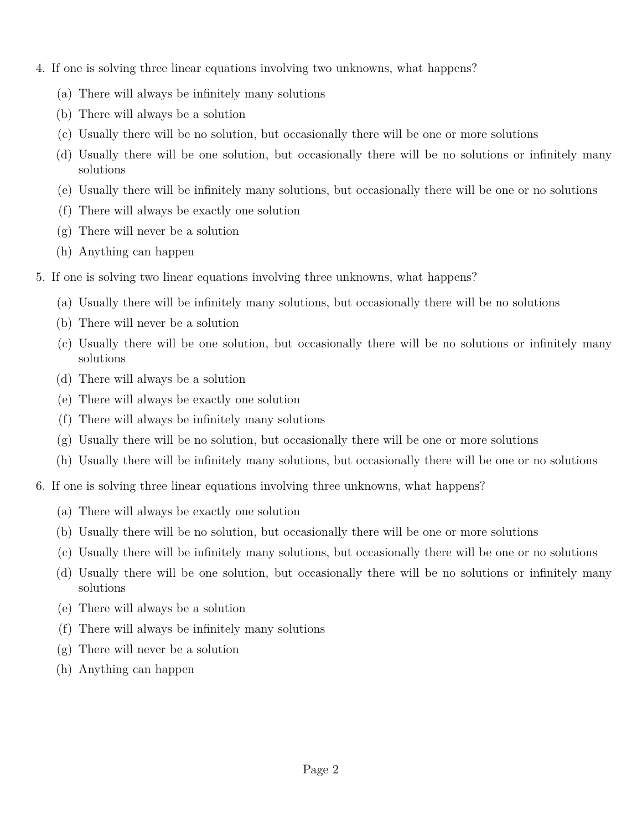- 4. If one is solving three linear equations involving two unknowns, what happens?
	- (a) There will always be infinitely many solutions
	- (b) There will always be a solution
	- (c) Usually there will be no solution, but occasionally there will be one or more solutions
	- (d) Usually there will be one solution, but occasionally there will be no solutions or infinitely many solutions
	- (e) Usually there will be infinitely many solutions, but occasionally there will be one or no solutions
	- (f) There will always be exactly one solution
	- (g) There will never be a solution
	- (h) Anything can happen
- 5. If one is solving two linear equations involving three unknowns, what happens?
	- (a) Usually there will be infinitely many solutions, but occasionally there will be no solutions
	- (b) There will never be a solution
	- (c) Usually there will be one solution, but occasionally there will be no solutions or infinitely many solutions
	- (d) There will always be a solution
	- (e) There will always be exactly one solution
	- (f) There will always be infinitely many solutions
	- $(g)$  Usually there will be no solution, but occasionally there will be one or more solutions
	- (h) Usually there will be infinitely many solutions, but occasionally there will be one or no solutions
- 6. If one is solving three linear equations involving three unknowns, what happens?
	- (a) There will always be exactly one solution
	- (b) Usually there will be no solution, but occasionally there will be one or more solutions
	- (c) Usually there will be infinitely many solutions, but occasionally there will be one or no solutions
	- (d) Usually there will be one solution, but occasionally there will be no solutions or infinitely many solutions
	- (e) There will always be a solution
	- (f) There will always be infinitely many solutions
	- (g) There will never be a solution
	- (h) Anything can happen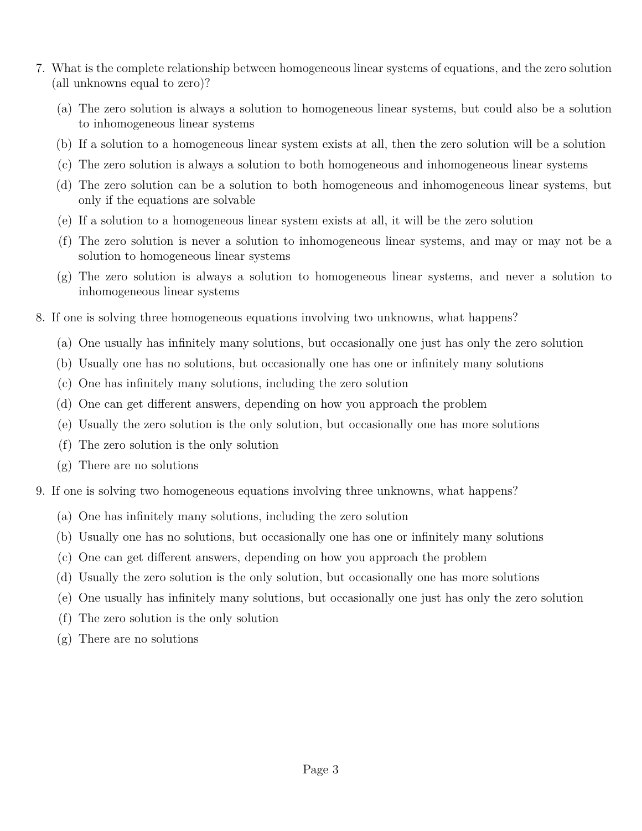- 7. What is the complete relationship between homogeneous linear systems of equations, and the zero solution (all unknowns equal to zero)?
	- (a) The zero solution is always a solution to homogeneous linear systems, but could also be a solution to inhomogeneous linear systems
	- (b) If a solution to a homogeneous linear system exists at all, then the zero solution will be a solution
	- (c) The zero solution is always a solution to both homogeneous and inhomogeneous linear systems
	- (d) The zero solution can be a solution to both homogeneous and inhomogeneous linear systems, but only if the equations are solvable
	- (e) If a solution to a homogeneous linear system exists at all, it will be the zero solution
	- (f) The zero solution is never a solution to inhomogeneous linear systems, and may or may not be a solution to homogeneous linear systems
	- (g) The zero solution is always a solution to homogeneous linear systems, and never a solution to inhomogeneous linear systems
- 8. If one is solving three homogeneous equations involving two unknowns, what happens?
	- (a) One usually has infinitely many solutions, but occasionally one just has only the zero solution
	- (b) Usually one has no solutions, but occasionally one has one or infinitely many solutions
	- (c) One has infinitely many solutions, including the zero solution
	- (d) One can get different answers, depending on how you approach the problem
	- (e) Usually the zero solution is the only solution, but occasionally one has more solutions
	- (f) The zero solution is the only solution
	- (g) There are no solutions
- 9. If one is solving two homogeneous equations involving three unknowns, what happens?
	- (a) One has infinitely many solutions, including the zero solution
	- (b) Usually one has no solutions, but occasionally one has one or infinitely many solutions
	- (c) One can get different answers, depending on how you approach the problem
	- (d) Usually the zero solution is the only solution, but occasionally one has more solutions
	- (e) One usually has infinitely many solutions, but occasionally one just has only the zero solution
	- (f) The zero solution is the only solution
	- (g) There are no solutions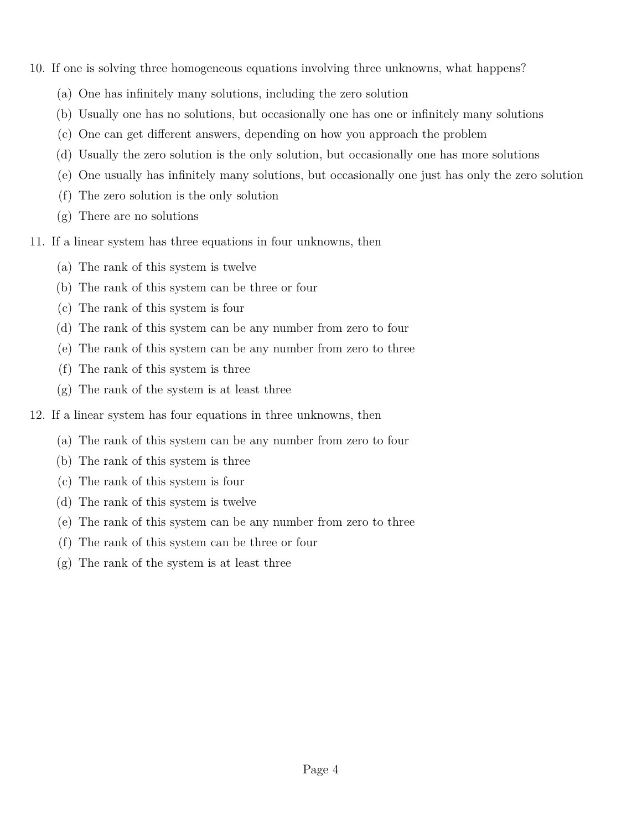- 10. If one is solving three homogeneous equations involving three unknowns, what happens?
	- (a) One has infinitely many solutions, including the zero solution
	- (b) Usually one has no solutions, but occasionally one has one or infinitely many solutions
	- (c) One can get different answers, depending on how you approach the problem
	- (d) Usually the zero solution is the only solution, but occasionally one has more solutions
	- (e) One usually has infinitely many solutions, but occasionally one just has only the zero solution
	- (f) The zero solution is the only solution
	- (g) There are no solutions
- 11. If a linear system has three equations in four unknowns, then
	- (a) The rank of this system is twelve
	- (b) The rank of this system can be three or four
	- (c) The rank of this system is four
	- (d) The rank of this system can be any number from zero to four
	- (e) The rank of this system can be any number from zero to three
	- (f) The rank of this system is three
	- (g) The rank of the system is at least three
- 12. If a linear system has four equations in three unknowns, then
	- (a) The rank of this system can be any number from zero to four
	- (b) The rank of this system is three
	- (c) The rank of this system is four
	- (d) The rank of this system is twelve
	- (e) The rank of this system can be any number from zero to three
	- (f) The rank of this system can be three or four
	- (g) The rank of the system is at least three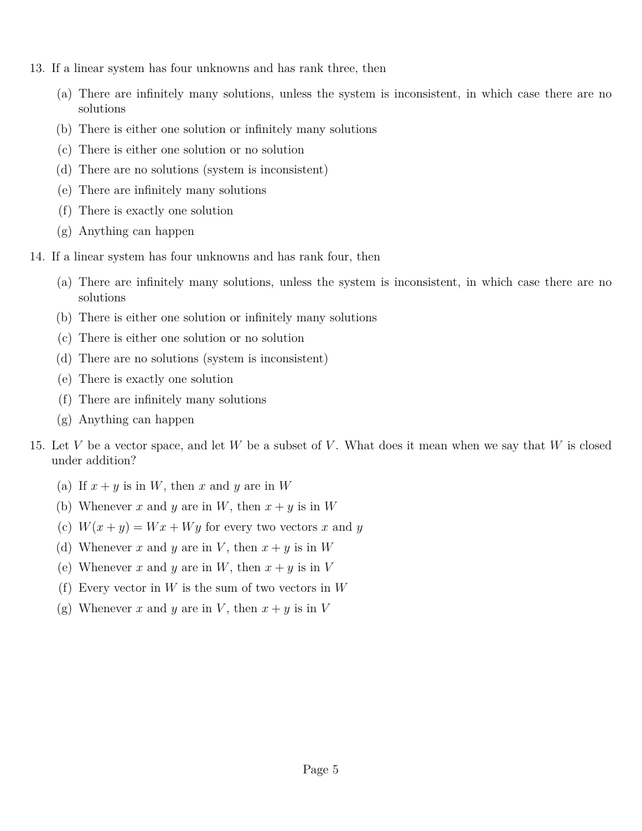- 13. If a linear system has four unknowns and has rank three, then
	- (a) There are infinitely many solutions, unless the system is inconsistent, in which case there are no solutions
	- (b) There is either one solution or infinitely many solutions
	- (c) There is either one solution or no solution
	- (d) There are no solutions (system is inconsistent)
	- (e) There are infinitely many solutions
	- (f) There is exactly one solution
	- (g) Anything can happen
- 14. If a linear system has four unknowns and has rank four, then
	- (a) There are infinitely many solutions, unless the system is inconsistent, in which case there are no solutions
	- (b) There is either one solution or infinitely many solutions
	- (c) There is either one solution or no solution
	- (d) There are no solutions (system is inconsistent)
	- (e) There is exactly one solution
	- (f) There are infinitely many solutions
	- (g) Anything can happen
- 15. Let *V* be a vector space, and let *W* be a subset of *V* . What does it mean when we say that *W* is closed under addition?
	- (a) If  $x + y$  is in W, then x and y are in W
	- (b) Whenever *x* and *y* are in *W*, then  $x + y$  is in *W*
	- (c)  $W(x + y) = Wx + Wy$  for every two vectors *x* and *y*
	- (d) Whenever *x* and *y* are in *V*, then  $x + y$  is in *W*
	- (e) Whenever *x* and *y* are in *W*, then  $x + y$  is in *V*
	- (f) Every vector in *W* is the sum of two vectors in *W*
	- (g) Whenever *x* and *y* are in *V*, then  $x + y$  is in *V*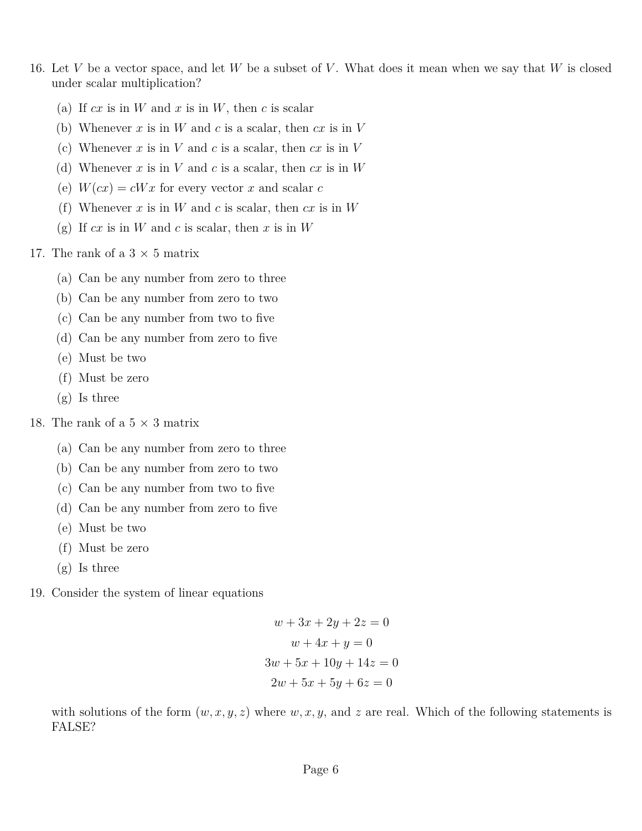- 16. Let *V* be a vector space, and let *W* be a subset of *V* . What does it mean when we say that *W* is closed under scalar multiplication?
	- (a) If  $cx$  is in  $W$  and  $x$  is in  $W$ , then  $c$  is scalar
	- (b) Whenever *x* is in *W* and *c* is a scalar, then *cx* is in *V*
	- (c) Whenever  $x$  is in  $V$  and  $c$  is a scalar, then  $cx$  is in  $V$
	- (d) Whenever *x* is in *V* and *c* is a scalar, then *cx* is in *W*
	- (e)  $W(cx) = cWx$  for every vector x and scalar c
	- (f) Whenever *x* is in *W* and *c* is scalar, then *cx* is in *W*
	- (g) If *cx* is in *W* and *c* is scalar, then *x* is in *W*

17. The rank of a  $3 \times 5$  matrix

- (a) Can be any number from zero to three
- (b) Can be any number from zero to two
- (c) Can be any number from two to five
- (d) Can be any number from zero to five
- (e) Must be two
- (f) Must be zero
- (g) Is three
- 18. The rank of a  $5 \times 3$  matrix
	- (a) Can be any number from zero to three
	- (b) Can be any number from zero to two
	- (c) Can be any number from two to five
	- (d) Can be any number from zero to five
	- (e) Must be two
	- (f) Must be zero
	- (g) Is three
- 19. Consider the system of linear equations

$$
w + 3x + 2y + 2z = 0
$$

$$
w + 4x + y = 0
$$

$$
3w + 5x + 10y + 14z = 0
$$

$$
2w + 5x + 5y + 6z = 0
$$

with solutions of the form  $(w, x, y, z)$  where  $w, x, y$ , and  $z$  are real. Which of the following statements is FALSE?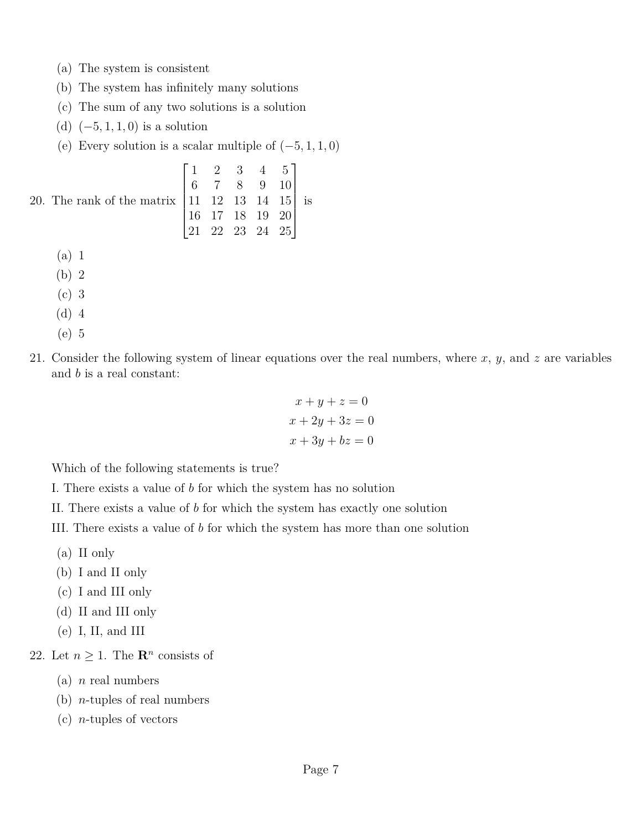- (a) The system is consistent
- (b) The system has infinitely many solutions
- (c) The sum of any two solutions is a solution
- (d) (−5*,* 1*,* 1*,* 0) is a solution
- (e) Every solution is a scalar multiple of  $(-5, 1, 1, 0)$

20. The rank of the matrix  $\mathbf{1}$  $\begin{bmatrix} 0 & 7 & 8 & 9 & 10 \\ 11 & 12 & 13 & 14 & 15 \\ 16 & 17 & 19 & 19 & 29 \end{bmatrix}$  16 17 18 19 20  $\vert$ 1 2 3 4 5 6 7 8 9 10 21 22 23 24 25  $5<sup>5</sup>$  is **20**  $25$ 

- (a) 1
- (b) 2
- (c) 3
- (d) 4
- (e) 5
- 21. Consider the following system of linear equations over the real numbers, where *x*, *y*, and *z* are variables and *b* is a real constant:

$$
x + y + z = 0
$$

$$
x + 2y + 3z = 0
$$

$$
x + 3y + bz = 0
$$

Which of the following statements is true?

I. There exists a value of *b* for which the system has no solution

II. There exists a value of *b* for which the system has exactly one solution

III. There exists a value of *b* for which the system has more than one solution

- (a) II only
- (b) I and II only
- (c) I and III only
- (d) II and III only
- (e) I, II, and III

22. Let  $n \geq 1$ . The  $\mathbb{R}^n$  consists of

- (a) *n* real numbers
- (b) *n*-tuples of real numbers
- (c) *n*-tuples of vectors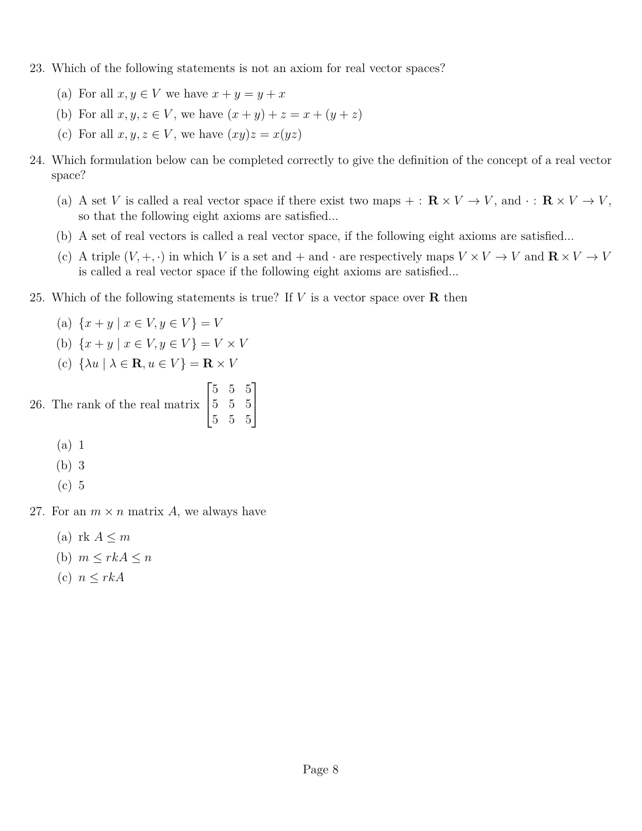- 23. Which of the following statements is not an axiom for real vector spaces?
	- (a) For all  $x, y \in V$  we have  $x + y = y + x$
	- (b) For all  $x, y, z \in V$ , we have  $(x + y) + z = x + (y + z)$
	- (c) For all  $x, y, z \in V$ , we have  $(xy)z = x(yz)$
- 24. Which formulation below can be completed correctly to give the definition of the concept of a real vector space?
	- (a) A set *V* is called a real vector space if there exist two maps  $+ : \mathbf{R} \times V \to V$ , and  $\cdot : \mathbf{R} \times V \to V$ , so that the following eight axioms are satisfied...
	- (b) A set of real vectors is called a real vector space, if the following eight axioms are satisfied...
	- (c) A triple  $(V, +, \cdot)$  in which *V* is a set and + and  $\cdot$  are respectively maps  $V \times V \to V$  and  $\mathbb{R} \times V \to V$ is called a real vector space if the following eight axioms are satisfied...
- 25. Which of the following statements is true? If *V* is a vector space over **R** then
	- (a)  $\{x + y \mid x \in V, y \in V\} = V$
	- (b)  $\{x + y \mid x \in V, y \in V\} = V \times V$
	- (c)  $\{\lambda u \mid \lambda \in \mathbf{R}, u \in V\} = \mathbf{R} \times V$
- 26. The rank of the real matrix  $\sqrt{ }$  $\overline{\phantom{a}}$ 5 5 5 5 5 5 5 5 5 1  $\overline{1}$ 
	- (a) 1
	- (b) 3
	- (c) 5
- 27. For an  $m \times n$  matrix A, we always have
	- (a) rk  $A \leq m$
	- (b)  $m \leq r k A \leq n$
	- (c) *n* ≤ *rkA*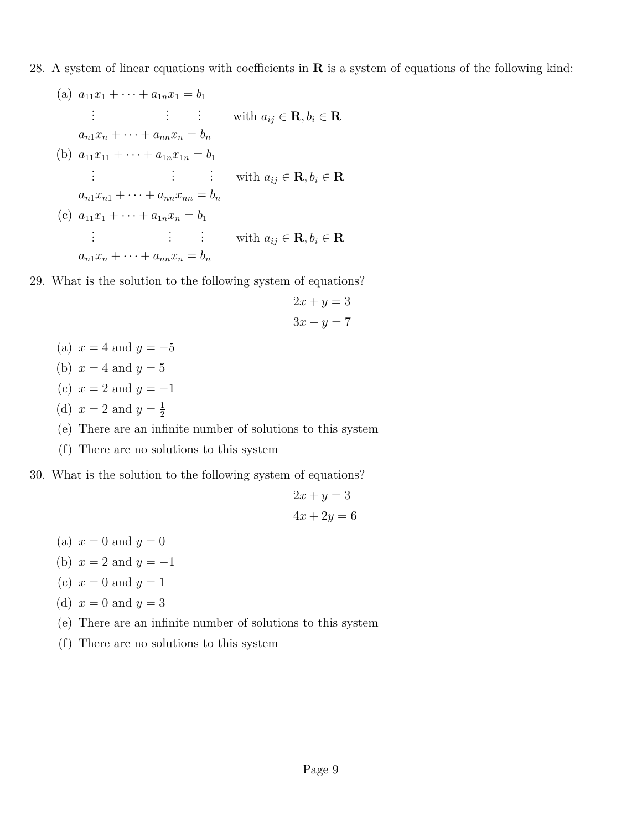28. A system of linear equations with coefficients in **R** is a system of equations of the following kind:

(a) 
$$
a_{11}x_1 + \cdots + a_{1n}x_1 = b_1
$$
  
\n $\vdots$   $\vdots$  with  $a_{ij} \in \mathbb{R}, b_i \in \mathbb{R}$   
\n $a_{n1}x_n + \cdots + a_{nn}x_n = b_n$   
\n(b)  $a_{11}x_{11} + \cdots + a_{1n}x_{1n} = b_1$   
\n $\vdots$   $\vdots$  with  $a_{ij} \in \mathbb{R}, b_i \in \mathbb{R}$   
\n $a_{n1}x_{n1} + \cdots + a_{nn}x_{nn} = b_n$   
\n(c)  $a_{11}x_1 + \cdots + a_{1n}x_n = b_1$   
\n $\vdots$   $\vdots$  with  $a_{ij} \in \mathbb{R}, b_i \in \mathbb{R}$   
\n $a_{n1}x_n + \cdots + a_{nn}x_n = b_n$ 

29. What is the solution to the following system of equations?

$$
2x + y = 3
$$

$$
3x - y = 7
$$

- (a)  $x = 4$  and  $y = -5$
- (b)  $x = 4$  and  $y = 5$
- (c)  $x = 2$  and  $y = -1$
- (d)  $x = 2$  and  $y = \frac{1}{2}$ 2
- (e) There are an infinite number of solutions to this system
- (f) There are no solutions to this system
- 30. What is the solution to the following system of equations?

$$
2x + y = 3
$$

$$
4x + 2y = 6
$$

- (a)  $x = 0$  and  $y = 0$
- (b)  $x = 2$  and  $y = -1$
- (c)  $x = 0$  and  $y = 1$
- (d)  $x = 0$  and  $y = 3$
- (e) There are an infinite number of solutions to this system
- (f) There are no solutions to this system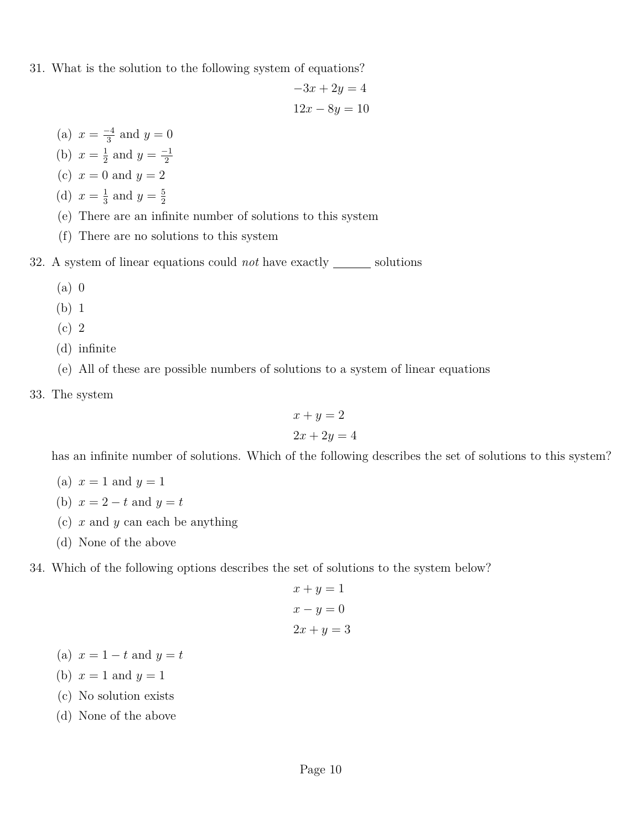31. What is the solution to the following system of equations?

$$
-3x + 2y = 4
$$

$$
12x - 8y = 10
$$

- (a)  $x = \frac{-4}{3}$  $\frac{-4}{3}$  and  $y = 0$
- (b)  $x = \frac{1}{2}$  $\frac{1}{2}$  and  $y = \frac{-1}{2}$ 2
- (c)  $x = 0$  and  $y = 2$
- (d)  $x = \frac{1}{3}$  $\frac{1}{3}$  and  $y = \frac{5}{2}$ 2
- (e) There are an infinite number of solutions to this system
- (f) There are no solutions to this system
- 32. A system of linear equations could *not* have exactly <u>solutions</u>
	- (a) 0
	- (b) 1
	- (c) 2
	- (d) infinite
	- (e) All of these are possible numbers of solutions to a system of linear equations
- 33. The system

$$
x + y = 2
$$

$$
2x + 2y = 4
$$

has an infinite number of solutions. Which of the following describes the set of solutions to this system?

- (a)  $x = 1$  and  $y = 1$
- (b)  $x = 2 t$  and  $y = t$
- (c) *x* and *y* can each be anything
- (d) None of the above
- 34. Which of the following options describes the set of solutions to the system below?

$$
x + y = 1
$$

$$
x - y = 0
$$

$$
2x + y = 3
$$

- (a)  $x = 1 t$  and  $y = t$
- (b)  $x = 1$  and  $y = 1$
- (c) No solution exists
- (d) None of the above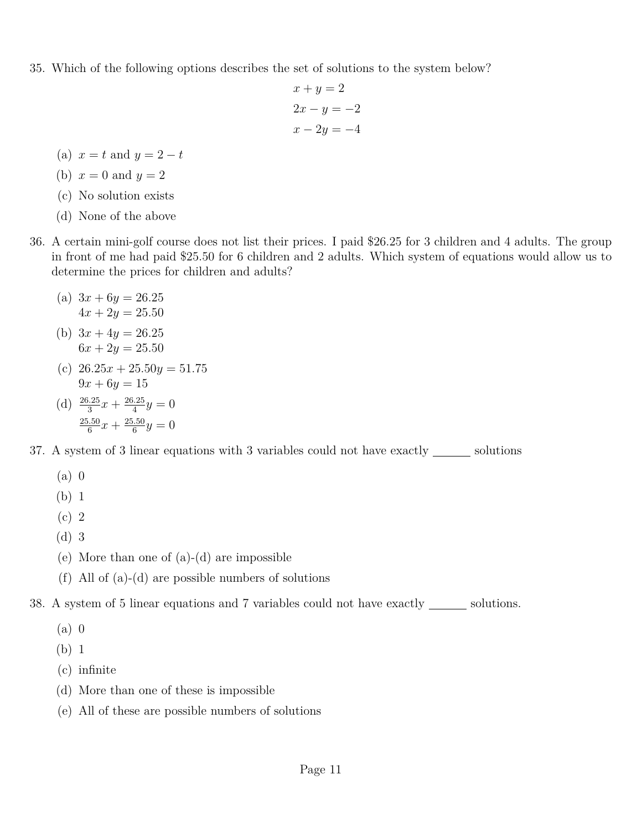35. Which of the following options describes the set of solutions to the system below?

$$
x + y = 2
$$

$$
2x - y = -2
$$

$$
x - 2y = -4
$$

(a)  $x = t$  and  $y = 2 - t$ 

(b) 
$$
x = 0
$$
 and  $y = 2$ 

- (c) No solution exists
- (d) None of the above
- 36. A certain mini-golf course does not list their prices. I paid \$26.25 for 3 children and 4 adults. The group in front of me had paid \$25.50 for 6 children and 2 adults. Which system of equations would allow us to determine the prices for children and adults?
	- (a)  $3x + 6y = 26.25$  $4x + 2y = 25.50$
	- (b)  $3x + 4y = 26.25$  $6x + 2y = 25.50$
	- (c)  $26.25x + 25.50y = 51.75$  $9x + 6y = 15$
	- (d)  $\frac{26.25}{3}x + \frac{26.25}{4}$  $\frac{4.25}{4}y = 0$ 25*.*50  $\frac{6.50}{6}x + \frac{25.50}{6}$  $\frac{.50}{6}y=0$
- 37. A system of 3 linear equations with 3 variables could not have exactly <u>same</u> solutions
	- (a) 0
	- (b) 1
	- (c) 2
	- (d) 3
	- (e) More than one of (a)-(d) are impossible
	- (f) All of (a)-(d) are possible numbers of solutions
- 38. A system of 5 linear equations and 7 variables could not have exactly \_\_\_\_\_\_\_ solutions.
	- (a) 0
	- (b) 1
	- (c) infinite
	- (d) More than one of these is impossible
	- (e) All of these are possible numbers of solutions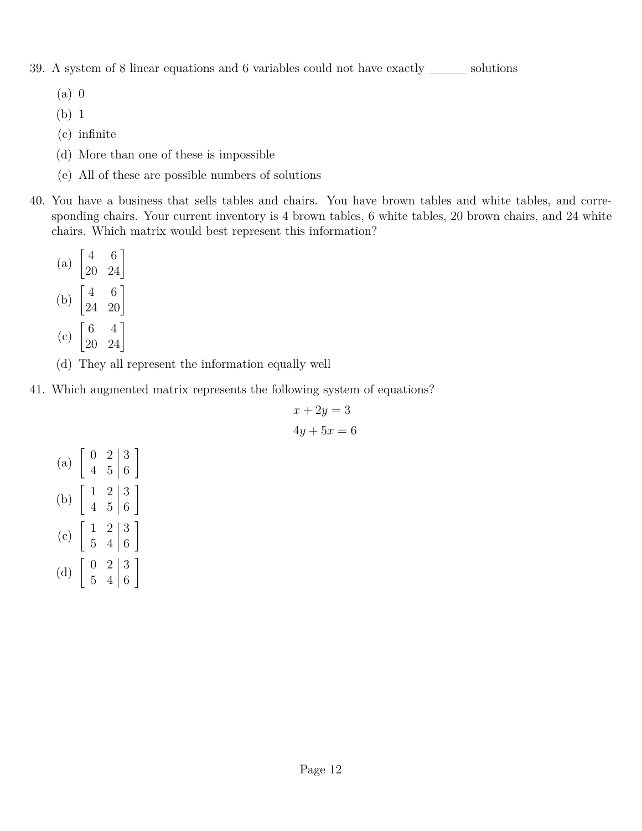39. A system of 8 linear equations and 6 variables could not have exactly  $\_\_\_\_\_$ solutions

- (a) 0
- (b) 1
- (c) infinite
- (d) More than one of these is impossible
- (e) All of these are possible numbers of solutions
- 40. You have a business that sells tables and chairs. You have brown tables and white tables, and corresponding chairs. Your current inventory is 4 brown tables, 6 white tables, 20 brown chairs, and 24 white chairs. Which matrix would best represent this information?
	- (a)  $\begin{bmatrix} 4 & 6 \\ 20 & 24 \end{bmatrix}$ (b)  $\begin{bmatrix} 4 & 6 \\ 24 & 20 \end{bmatrix}$ (c)  $\begin{bmatrix} 6 & 4 \\ 20 & 24 \end{bmatrix}$
	- (d) They all represent the information equally well
- 41. Which augmented matrix represents the following system of equations?

$$
x + 2y = 3
$$

$$
4y + 5x = 6
$$

| (a)                        |                |                | $\begin{array}{c c} 2 & 3 \ 5 & 6 \end{array}$  |
|----------------------------|----------------|----------------|-------------------------------------------------|
| $\left(\mathrm{b}\right)$  | $\overline{4}$ |                | $\begin{bmatrix} 2 & 3 \\ 5 & 6 \end{bmatrix}$  |
| $\left( \mathrm{c}\right)$ | $\frac{1}{5}$  |                | $\begin{array}{c c} 2 & 3 \\ 4 & 6 \end{array}$ |
| $\rm(d)$                   |                | 2 <sub>1</sub> | $\frac{3}{6}$                                   |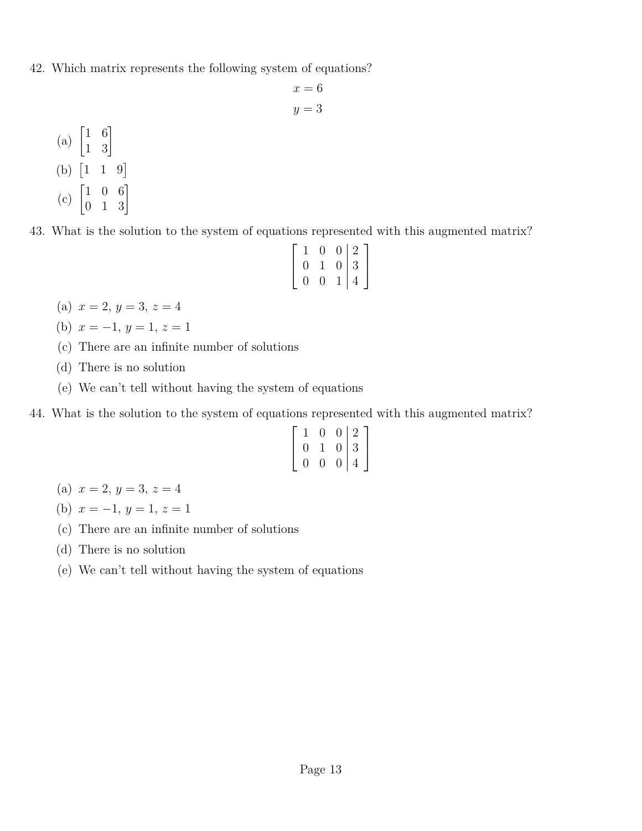42. Which matrix represents the following system of equations?

$$
x = 6
$$

$$
y = 3
$$

(a)  $\begin{bmatrix} 1 & 6 \\ 1 & 3 \end{bmatrix}$ (b)  $\begin{bmatrix} 1 & 1 & 9 \end{bmatrix}$ (c)  $\begin{bmatrix} 1 & 0 & 6 \\ 0 & 1 & 3 \end{bmatrix}$ 

43. What is the solution to the system of equations represented with this augmented matrix?

| $\mathbf{1}$  | $\Omega$      |              | $0 \mid 2 \mid$ |
|---------------|---------------|--------------|-----------------|
| 0             | $\mathbf{1}$  |              | $0 \mid 3$      |
| $\mathcal{O}$ | $\mathcal{O}$ | $\mathbf{L}$ | $\overline{4}$  |

- (a)  $x = 2, y = 3, z = 4$
- (b)  $x = -1, y = 1, z = 1$
- (c) There are an infinite number of solutions
- (d) There is no solution
- (e) We can't tell without having the system of equations
- 44. What is the solution to the system of equations represented with this augmented matrix?

|               | O             |                | $0 \mid 2 \rceil$ |
|---------------|---------------|----------------|-------------------|
| O             | $\perp$       |                | $0 \mid 3$        |
| $\mathcal{O}$ | $\mathcal{O}$ | $\overline{0}$ | $\overline{4}$    |

- (a)  $x = 2, y = 3, z = 4$
- (b)  $x = -1, y = 1, z = 1$
- (c) There are an infinite number of solutions
- (d) There is no solution
- (e) We can't tell without having the system of equations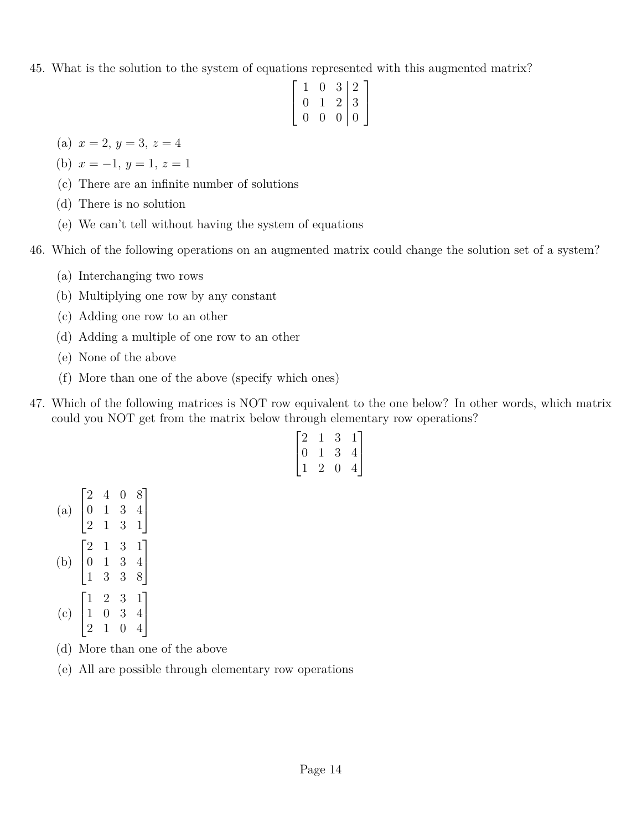45. What is the solution to the system of equations represented with this augmented matrix?

$$
\left[\begin{array}{ccc|c}\n1 & 0 & 3 & 2 \\
0 & 1 & 2 & 3 \\
0 & 0 & 0 & 0\n\end{array}\right]
$$

- (a)  $x = 2, y = 3, z = 4$
- (b)  $x = -1, y = 1, z = 1$
- (c) There are an infinite number of solutions
- (d) There is no solution
- (e) We can't tell without having the system of equations
- 46. Which of the following operations on an augmented matrix could change the solution set of a system?
	- (a) Interchanging two rows
	- (b) Multiplying one row by any constant
	- (c) Adding one row to an other
	- (d) Adding a multiple of one row to an other
	- (e) None of the above
	- (f) More than one of the above (specify which ones)
- 47. Which of the following matrices is NOT row equivalent to the one below? In other words, which matrix could you NOT get from the matrix below through elementary row operations?

$$
\begin{bmatrix} 2 & 1 & 3 & 1 \\ 0 & 1 & 3 & 4 \\ 1 & 2 & 0 & 4 \end{bmatrix}
$$

- (a)  $\sqrt{ }$ 2 4 0 8 0 1 3 4 1
- $\overline{\phantom{a}}$ 2 1 3 1  $\overline{a}$
- $\sqrt{ }$ 2 1 3 1 1
- (b)  $\overline{\phantom{a}}$ 0 1 3 4 1 3 3 8  $\overline{ }$
- $\sqrt{ }$ 1 2 3 1 1
- (c)  $\overline{\phantom{a}}$ 1 0 3 4 2 1 0 4  $\overline{a}$
- (d) More than one of the above
- (e) All are possible through elementary row operations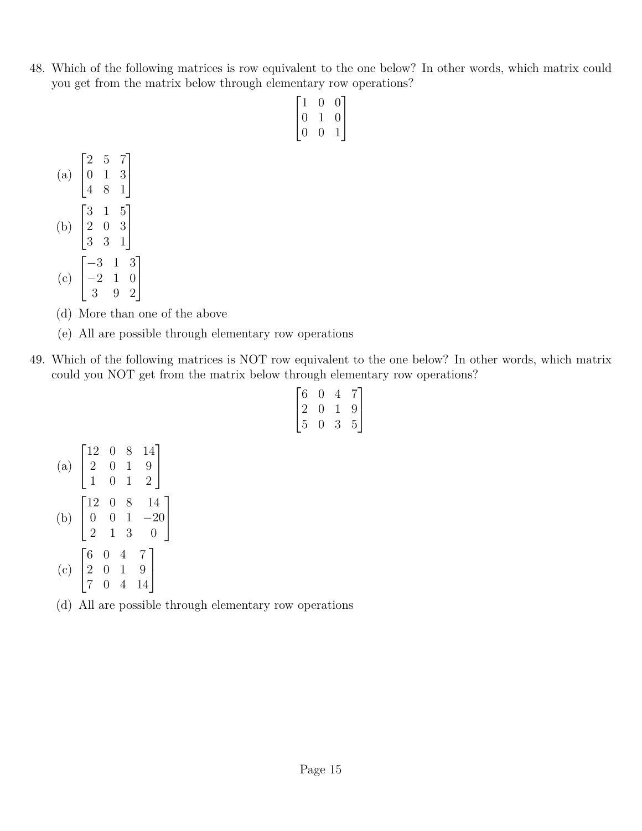48. Which of the following matrices is row equivalent to the one below? In other words, which matrix could you get from the matrix below through elementary row operations?

| 1 | $\Omega$ | $\theta$ |
|---|----------|----------|
| 0 |          | $\theta$ |
| 0 | U        |          |

- (a)  $\sqrt{ }$  $\overline{\phantom{a}}$ 2 5 7 0 1 3 4 8 1 1  $\overline{1}$ (b)  $\sqrt{ }$  $\overline{\phantom{a}}$ 3 1 5 2 0 3 3 3 1 1  $\overline{1}$ (c)  $\sqrt{ }$  $\overline{\phantom{a}}$ −3 1 3 −2 1 0 3 9 2 1  $\overline{1}$
- (d) More than one of the above
- (e) All are possible through elementary row operations
- 49. Which of the following matrices is NOT row equivalent to the one below? In other words, which matrix could you NOT get from the matrix below through elementary row operations?

| $\overline{6}$ | 0 |   | 7 |
|----------------|---|---|---|
| $\binom{1}{2}$ | 0 |   | 9 |
| 5              | 0 | 3 | 5 |

- (a)  $\sqrt{ }$  $\overline{\phantom{a}}$ 12 0 8 14 2 0 1 9 1 0 1 2 1  $\overline{1}$ (b)  $\sqrt{ }$  $\overline{\phantom{a}}$ 12 0 8 14  $0 \quad 0 \quad 1 \quad -20$ 2 1 3 0 1  $\vert$ (c)  $\sqrt{ }$  $\overline{\phantom{a}}$ 6 0 4 7 2 0 1 9 7 0 4 14 1  $\overline{1}$
- (d) All are possible through elementary row operations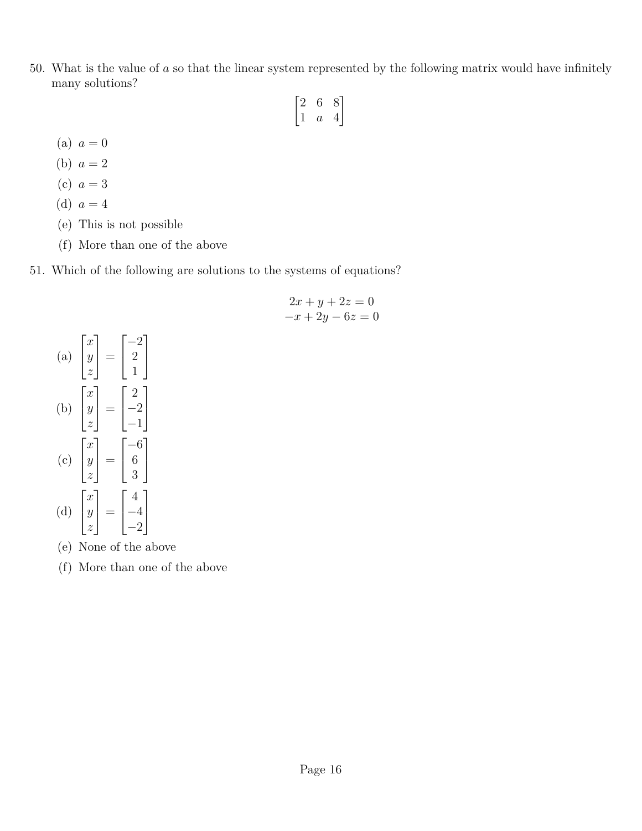50. What is the value of *a* so that the linear system represented by the following matrix would have infinitely many solutions?

$$
\begin{bmatrix} 2 & 6 & 8 \\ 1 & a & 4 \end{bmatrix}
$$

- (a)  $a = 0$
- (b)  $a = 2$
- (c)  $a = 3$
- (d)  $a = 4$
- (e) This is not possible
- (f) More than one of the above
- 51. Which of the following are solutions to the systems of equations?

$$
2x + y + 2z = 0
$$
  

$$
-x + 2y - 6z = 0
$$



- (e) None of the above
- (f) More than one of the above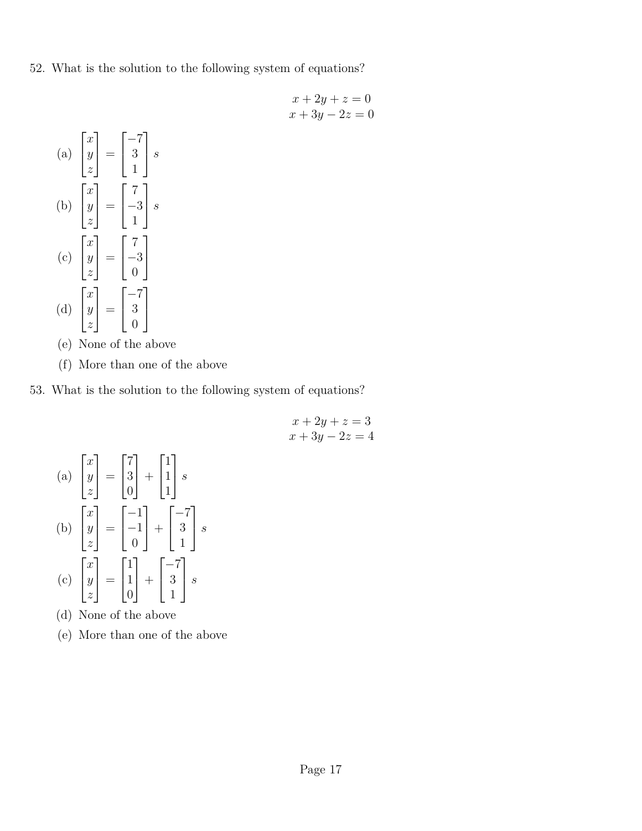52. What is the solution to the following system of equations?

$$
x + 2y + z = 0
$$

$$
x + 3y - 2z = 0
$$

(a) 
$$
\begin{bmatrix} x \\ y \\ z \end{bmatrix} = \begin{bmatrix} -7 \\ 3 \\ 1 \end{bmatrix} s
$$
  
\n(b)  $\begin{bmatrix} x \\ y \\ z \end{bmatrix} = \begin{bmatrix} 7 \\ -3 \\ 1 \end{bmatrix} s$   
\n(c)  $\begin{bmatrix} x \\ y \\ z \end{bmatrix} = \begin{bmatrix} 7 \\ -3 \\ 0 \end{bmatrix}$   
\n(d)  $\begin{bmatrix} x \\ y \\ z \end{bmatrix} = \begin{bmatrix} -7 \\ 3 \\ 0 \end{bmatrix}$ 

- (e) None of the above
- (f) More than one of the above
- 53. What is the solution to the following system of equations?

$$
x + 2y + z = 3
$$

$$
x + 3y - 2z = 4
$$

(a) 
$$
\begin{bmatrix} x \\ y \\ z \end{bmatrix} = \begin{bmatrix} 7 \\ 3 \\ 0 \end{bmatrix} + \begin{bmatrix} 1 \\ 1 \\ 1 \end{bmatrix} s
$$
  
\n(b) 
$$
\begin{bmatrix} x \\ y \\ z \end{bmatrix} = \begin{bmatrix} -1 \\ -1 \\ 0 \end{bmatrix} + \begin{bmatrix} -7 \\ 3 \\ 1 \end{bmatrix} s
$$
  
\n(c) 
$$
\begin{bmatrix} x \\ y \\ z \end{bmatrix} = \begin{bmatrix} 1 \\ 1 \\ 0 \end{bmatrix} + \begin{bmatrix} -7 \\ 3 \\ 1 \end{bmatrix} s
$$

- (d) None of the above
- (e) More than one of the above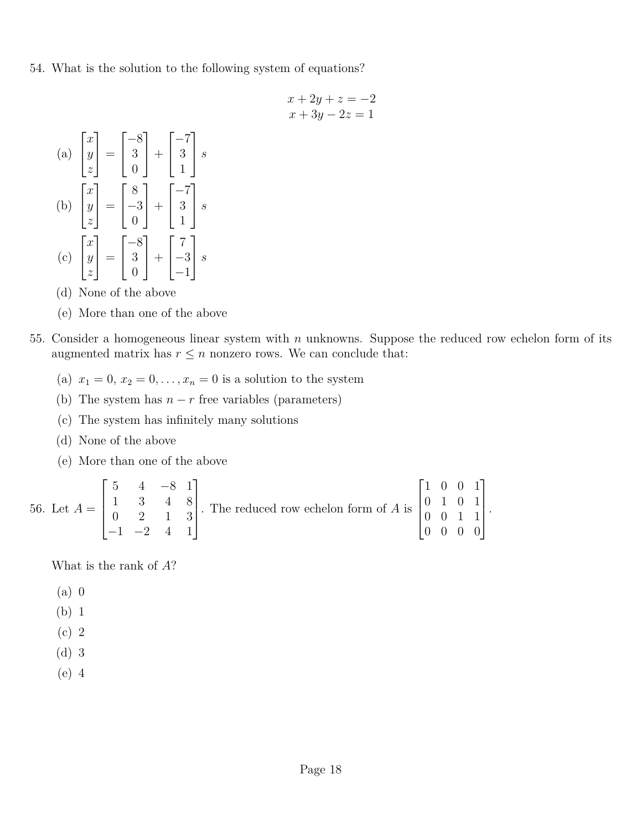- 54. What is the solution to the following system of equations?
	- $x + 2y + z = -2$  $x + 3y - 2z = 1$
	- (a)  $\sqrt{ }$  $\overline{\phantom{a}}$ *x y z* 1  $\Big| =$  $\sqrt{ }$  $\overline{1}$ −8 3 0 1  $| +$  $\sqrt{ }$  $\overline{1}$  $-7$ 3 1 1 *s* (b)  $\sqrt{ }$  $\overline{\phantom{a}}$ *x y z* 1  $\Big| =$  $\lceil$  $\overline{1}$ 8 −3 0 1  $+$  $\sqrt{ }$  $\overline{\phantom{a}}$  $-7$ 3 1 1 *s* (c)  $\sqrt{ }$  $\overline{\phantom{a}}$ *x y z* 1  $\Big| =$  $\sqrt{ }$  $\overline{1}$ −8 3  $\overline{0}$ 1  $| +$  $\sqrt{ }$  $\overline{1}$ 7 −3 −1 1 *s*
	- (d) None of the above
	- (e) More than one of the above
- 55. Consider a homogeneous linear system with *n* unknowns. Suppose the reduced row echelon form of its augmented matrix has  $r \leq n$  nonzero rows. We can conclude that:
	- (a)  $x_1 = 0, x_2 = 0, \ldots, x_n = 0$  is a solution to the system
	- (b) The system has  $n r$  free variables (parameters)
	- (c) The system has infinitely many solutions
	- (d) None of the above
	- (e) More than one of the above

56. Let 
$$
A = \begin{bmatrix} 5 & 4 & -8 & 1 \\ 1 & 3 & 4 & 8 \\ 0 & 2 & 1 & 3 \\ -1 & -2 & 4 & 1 \end{bmatrix}
$$
. The reduced row echelon form of A is  $\begin{bmatrix} 1 & 0 & 0 & 1 \\ 0 & 1 & 0 & 1 \\ 0 & 0 & 1 & 1 \\ 0 & 0 & 0 & 0 \end{bmatrix}$ .

What is the rank of *A*?

- (a) 0
- (b) 1
- (c) 2
- (d) 3
- (e) 4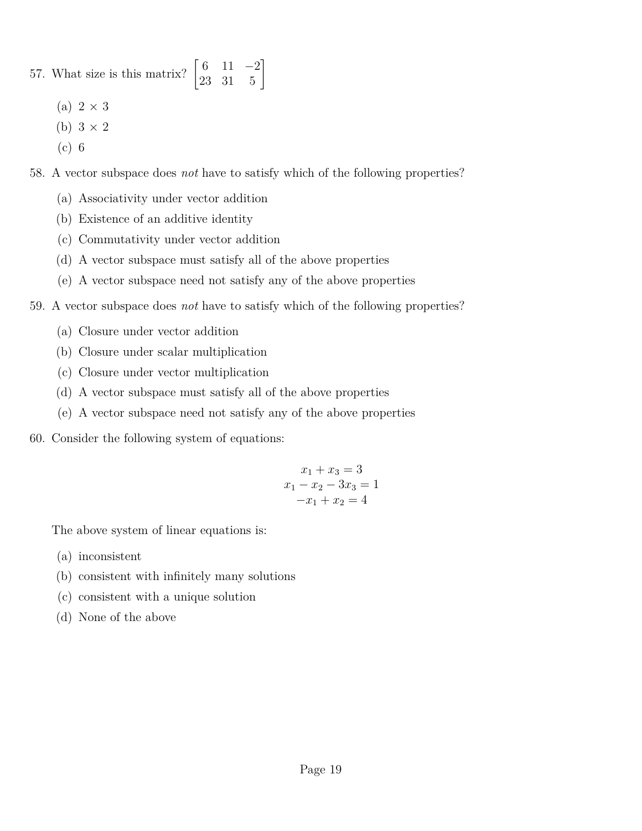## 57. What size is this matrix?  $\begin{bmatrix} 6 & 11 & -2 \\ 23 & 31 & 5 \end{bmatrix}$

- (a)  $2 \times 3$
- (b)  $3 \times 2$
- (c) 6
- 58. A vector subspace does *not* have to satisfy which of the following properties?
	- (a) Associativity under vector addition
	- (b) Existence of an additive identity
	- (c) Commutativity under vector addition
	- (d) A vector subspace must satisfy all of the above properties
	- (e) A vector subspace need not satisfy any of the above properties
- 59. A vector subspace does *not* have to satisfy which of the following properties?
	- (a) Closure under vector addition
	- (b) Closure under scalar multiplication
	- (c) Closure under vector multiplication
	- (d) A vector subspace must satisfy all of the above properties
	- (e) A vector subspace need not satisfy any of the above properties
- 60. Consider the following system of equations:

$$
x_1 + x_3 = 3
$$
  

$$
x_1 - x_2 - 3x_3 = 1
$$
  

$$
-x_1 + x_2 = 4
$$

The above system of linear equations is:

- (a) inconsistent
- (b) consistent with infinitely many solutions
- (c) consistent with a unique solution
- (d) None of the above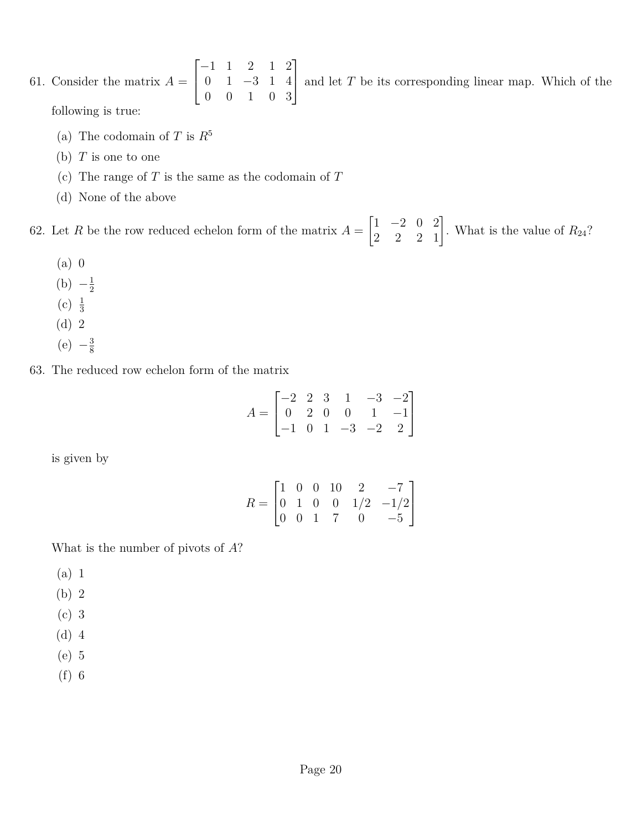- 61. Consider the matrix  $A =$  $\sqrt{ }$  $\overline{\phantom{a}}$ −1 1 2 1 2 0 1 −3 1 4 0 0 1 0 3 1 and let *<sup>T</sup>* be its corresponding linear map. Which of the following is true:
	- (a) The codomain of *T* is  $R^5$
	- (b) *T* is one to one
	- (c) The range of *T* is the same as the codomain of *T*
	- (d) None of the above

62. Let *R* be the row reduced echelon form of the matrix  $A =$  $\begin{bmatrix} 1 & -2 & 0 & 2 \\ 2 & 2 & 2 & 1 \end{bmatrix}$ . What is the value of  $R_{24}$ ?

- (a) 0
- $(b) -\frac{1}{2}$ 2
- (c)  $\frac{1}{3}$
- (d) 2
- $(e) -\frac{3}{8}$

8

63. The reduced row echelon form of the matrix

$$
A = \begin{bmatrix} -2 & 2 & 3 & 1 & -3 & -2 \\ 0 & 2 & 0 & 0 & 1 & -1 \\ -1 & 0 & 1 & -3 & -2 & 2 \end{bmatrix}
$$

is given by

$$
R = \begin{bmatrix} 1 & 0 & 0 & 10 & 2 & -7 \\ 0 & 1 & 0 & 0 & 1/2 & -1/2 \\ 0 & 0 & 1 & 7 & 0 & -5 \end{bmatrix}
$$

What is the number of pivots of *A*?

- (a) 1
- (b) 2
- (c) 3
- (d) 4
- (e) 5
- (f) 6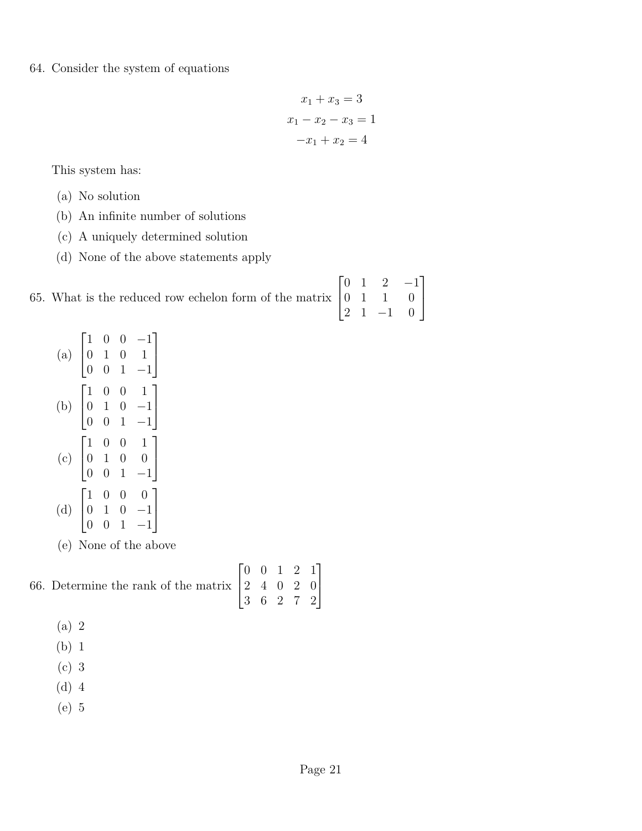64. Consider the system of equations

$$
x_1 + x_3 = 3
$$

$$
x_1 - x_2 - x_3 = 1
$$

$$
-x_1 + x_2 = 4
$$

This system has:

- (a) No solution
- (b) An infinite number of solutions
- (c) A uniquely determined solution
- (d) None of the above statements apply

| 65. What is the reduced row echelon form of the matrix $\begin{bmatrix} 0 & 1 & 2 & -1 \\ 0 & 1 & 1 & 0 \\ 2 & 1 & -1 & 0 \end{bmatrix}$ |  |  |  |
|------------------------------------------------------------------------------------------------------------------------------------------|--|--|--|

(e) None of the above

## 66. Determine the rank of the matrix  $\sqrt{ }$  $\overline{\phantom{a}}$ 0 0 1 2 1 2 4 0 2 0 3 6 2 7 2 1  $\overline{ }$

- (a) 2
- (b) 1
- (c) 3
- (d) 4
- (e) 5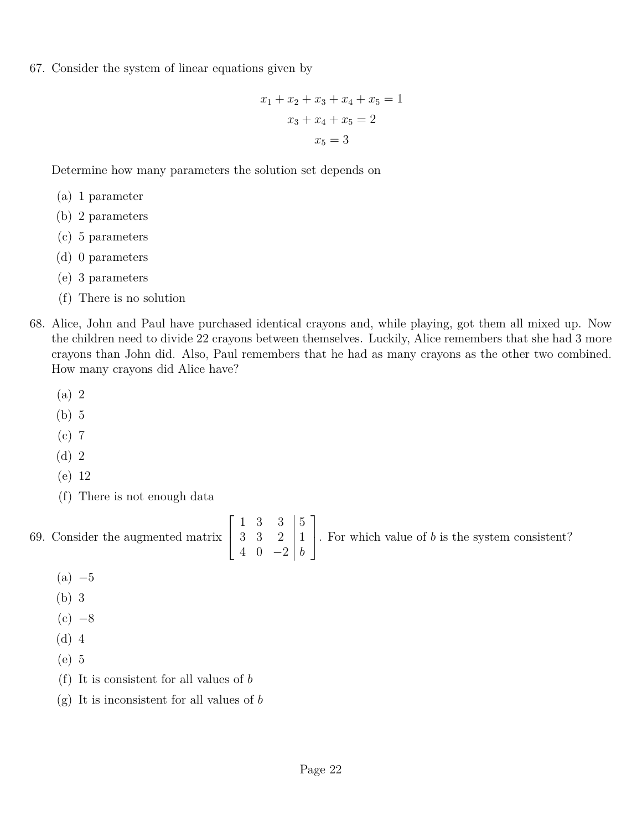67. Consider the system of linear equations given by

$$
x_1 + x_2 + x_3 + x_4 + x_5 = 1
$$
  

$$
x_3 + x_4 + x_5 = 2
$$
  

$$
x_5 = 3
$$

Determine how many parameters the solution set depends on

- (a) 1 parameter
- (b) 2 parameters
- (c) 5 parameters
- (d) 0 parameters
- (e) 3 parameters
- (f) There is no solution
- 68. Alice, John and Paul have purchased identical crayons and, while playing, got them all mixed up. Now the children need to divide 22 crayons between themselves. Luckily, Alice remembers that she had 3 more crayons than John did. Also, Paul remembers that he had as many crayons as the other two combined. How many crayons did Alice have?
	- (a) 2
	- (b) 5
	- (c) 7
	- (d) 2
	- (e) 12
	- (f) There is not enough data

69. Consider the augmented matrix  $\sqrt{ }$  $\overline{1}$  $1 \t3 \t3 \t|5$ 3 3 2 1 4 0 −2 *b* 1 . For which value of *<sup>b</sup>* is the system consistent?

- $(a) -5$
- (b) 3
- $(c)$   $-8$
- (d) 4
- (e) 5
- (f) It is consistent for all values of *b*
- (g) It is inconsistent for all values of *b*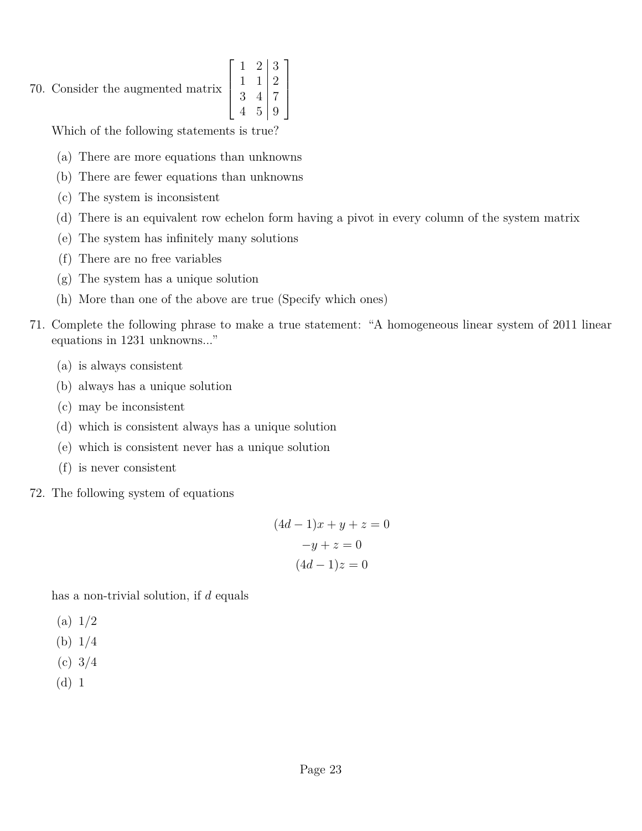## 70. Consider the augmented matrix  $\overline{\phantom{a}}$

 $\sqrt{ }$  $1 \quad 2 \mid 3$  $1 \ 1 \ 2$  $3 \quad 4 \mid 7$ 4 5 9 1  $\begin{array}{c} \begin{array}{c} \begin{array}{c} \end{array} \end{array} \end{array}$ 

Which of the following statements is true?

- (a) There are more equations than unknowns
- (b) There are fewer equations than unknowns
- (c) The system is inconsistent
- (d) There is an equivalent row echelon form having a pivot in every column of the system matrix
- (e) The system has infinitely many solutions
- (f) There are no free variables
- (g) The system has a unique solution
- (h) More than one of the above are true (Specify which ones)
- 71. Complete the following phrase to make a true statement: "A homogeneous linear system of 2011 linear equations in 1231 unknowns..."
	- (a) is always consistent
	- (b) always has a unique solution
	- (c) may be inconsistent
	- (d) which is consistent always has a unique solution
	- (e) which is consistent never has a unique solution
	- (f) is never consistent
- 72. The following system of equations

$$
(4d - 1)x + y + z = 0
$$

$$
-y + z = 0
$$

$$
(4d - 1)z = 0
$$

has a non-trivial solution, if *d* equals

- $(a) 1/2$
- (b) 1/4
- (c) 3/4
- (d) 1